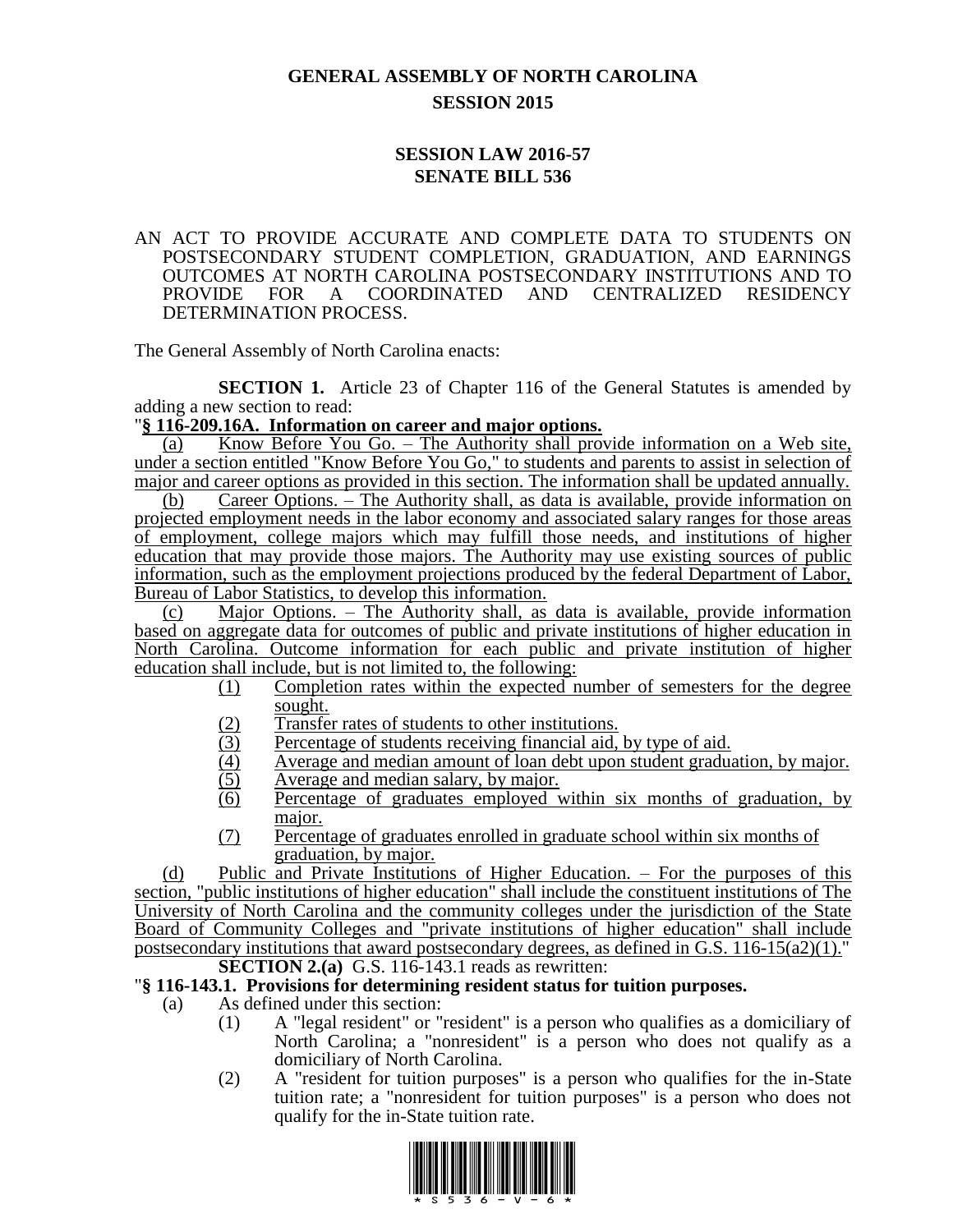# **GENERAL ASSEMBLY OF NORTH CAROLINA SESSION 2015**

## **SESSION LAW 2016-57 SENATE BILL 536**

#### AN ACT TO PROVIDE ACCURATE AND COMPLETE DATA TO STUDENTS ON POSTSECONDARY STUDENT COMPLETION, GRADUATION, AND EARNINGS OUTCOMES AT NORTH CAROLINA POSTSECONDARY INSTITUTIONS AND TO PROVIDE FOR A COORDINATED AND CENTRALIZED RESIDENCY DETERMINATION PROCESS.

The General Assembly of North Carolina enacts:

**SECTION 1.** Article 23 of Chapter 116 of the General Statutes is amended by adding a new section to read:

### "**§ 116-209.16A. Information on career and major options.**

(a) Know Before You Go. – The Authority shall provide information on a Web site, under a section entitled "Know Before You Go," to students and parents to assist in selection of major and career options as provided in this section. The information shall be updated annually.

(b) Career Options. – The Authority shall, as data is available, provide information on projected employment needs in the labor economy and associated salary ranges for those areas of employment, college majors which may fulfill those needs, and institutions of higher education that may provide those majors. The Authority may use existing sources of public information, such as the employment projections produced by the federal Department of Labor, Bureau of Labor Statistics, to develop this information.

(c) Major Options. – The Authority shall, as data is available, provide information based on aggregate data for outcomes of public and private institutions of higher education in North Carolina. Outcome information for each public and private institution of higher education shall include, but is not limited to, the following:

- (1) Completion rates within the expected number of semesters for the degree sought.
- (2) Transfer rates of students to other institutions.
- (3) Percentage of students receiving financial aid, by type of aid.<br>
(4) Average and median amount of loan debt upon student gradua
- Average and median amount of loan debt upon student graduation, by major.
- (5) Average and median salary, by major.
- (6) Percentage of graduates employed within six months of graduation, by major.
- (7) Percentage of graduates enrolled in graduate school within six months of graduation, by major.

(d) Public and Private Institutions of Higher Education. – For the purposes of this section, "public institutions of higher education" shall include the constituent institutions of The University of North Carolina and the community colleges under the jurisdiction of the State Board of Community Colleges and "private institutions of higher education" shall include postsecondary institutions that award postsecondary degrees, as defined in G.S. 116-15(a2)(1)."

**SECTION 2.(a)** G.S. 116-143.1 reads as rewritten:

### "**§ 116-143.1. Provisions for determining resident status for tuition purposes.**

(a) As defined under this section:

- (1) A "legal resident" or "resident" is a person who qualifies as a domiciliary of North Carolina; a "nonresident" is a person who does not qualify as a domiciliary of North Carolina.
- (2) A "resident for tuition purposes" is a person who qualifies for the in-State tuition rate; a "nonresident for tuition purposes" is a person who does not qualify for the in-State tuition rate.

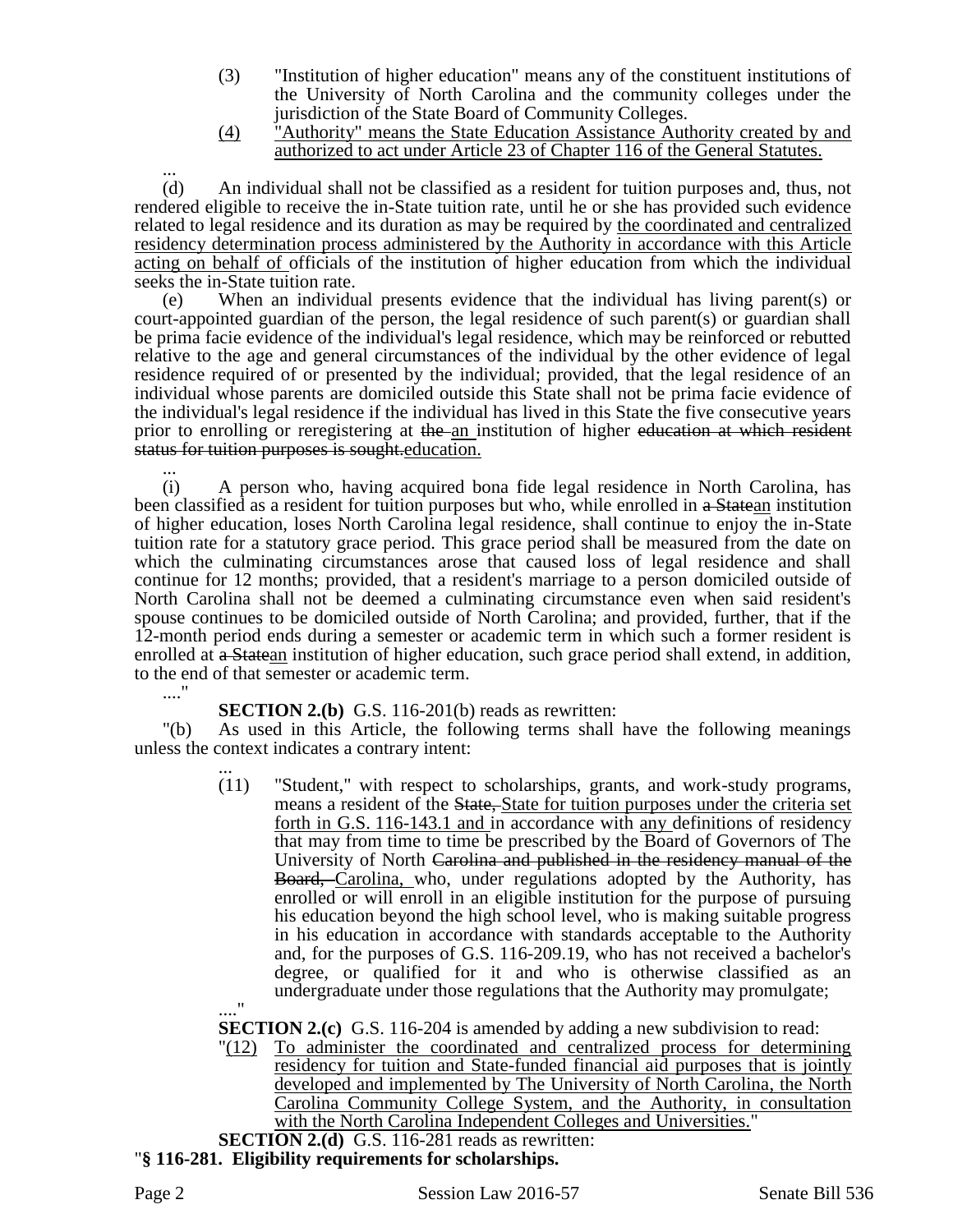- (3) "Institution of higher education" means any of the constituent institutions of the University of North Carolina and the community colleges under the jurisdiction of the State Board of Community Colleges.
- (4) "Authority" means the State Education Assistance Authority created by and authorized to act under Article 23 of Chapter 116 of the General Statutes.

... (d) An individual shall not be classified as a resident for tuition purposes and, thus, not rendered eligible to receive the in-State tuition rate, until he or she has provided such evidence related to legal residence and its duration as may be required by the coordinated and centralized residency determination process administered by the Authority in accordance with this Article acting on behalf of officials of the institution of higher education from which the individual seeks the in-State tuition rate.

(e) When an individual presents evidence that the individual has living parent(s) or court-appointed guardian of the person, the legal residence of such parent(s) or guardian shall be prima facie evidence of the individual's legal residence, which may be reinforced or rebutted relative to the age and general circumstances of the individual by the other evidence of legal residence required of or presented by the individual; provided, that the legal residence of an individual whose parents are domiciled outside this State shall not be prima facie evidence of the individual's legal residence if the individual has lived in this State the five consecutive years prior to enrolling or reregistering at the an institution of higher education at which resident status for tuition purposes is sought.education.

... (i) A person who, having acquired bona fide legal residence in North Carolina, has been classified as a resident for tuition purposes but who, while enrolled in a Statean institution of higher education, loses North Carolina legal residence, shall continue to enjoy the in-State tuition rate for a statutory grace period. This grace period shall be measured from the date on which the culminating circumstances arose that caused loss of legal residence and shall continue for 12 months; provided, that a resident's marriage to a person domiciled outside of North Carolina shall not be deemed a culminating circumstance even when said resident's spouse continues to be domiciled outside of North Carolina; and provided, further, that if the 12-month period ends during a semester or academic term in which such a former resident is enrolled at a Statean institution of higher education, such grace period shall extend, in addition, to the end of that semester or academic term.

...."

**SECTION 2.(b)** G.S. 116-201(b) reads as rewritten:

"(b) As used in this Article, the following terms shall have the following meanings unless the context indicates a contrary intent:

... (11) "Student," with respect to scholarships, grants, and work-study programs, means a resident of the State, State for tuition purposes under the criteria set forth in G.S. 116-143.1 and in accordance with any definitions of residency that may from time to time be prescribed by the Board of Governors of The University of North Carolina and published in the residency manual of the Board, Carolina, who, under regulations adopted by the Authority, has enrolled or will enroll in an eligible institution for the purpose of pursuing his education beyond the high school level, who is making suitable progress in his education in accordance with standards acceptable to the Authority and, for the purposes of G.S. 116-209.19, who has not received a bachelor's degree, or qualified for it and who is otherwise classified as an undergraduate under those regulations that the Authority may promulgate; ...."

**SECTION 2.(c)** G.S. 116-204 is amended by adding a new subdivision to read:

"(12) To administer the coordinated and centralized process for determining residency for tuition and State-funded financial aid purposes that is jointly developed and implemented by The University of North Carolina, the North Carolina Community College System, and the Authority, in consultation with the North Carolina Independent Colleges and Universities."

**SECTION 2.(d)** G.S. 116-281 reads as rewritten:

"**§ 116-281. Eligibility requirements for scholarships.**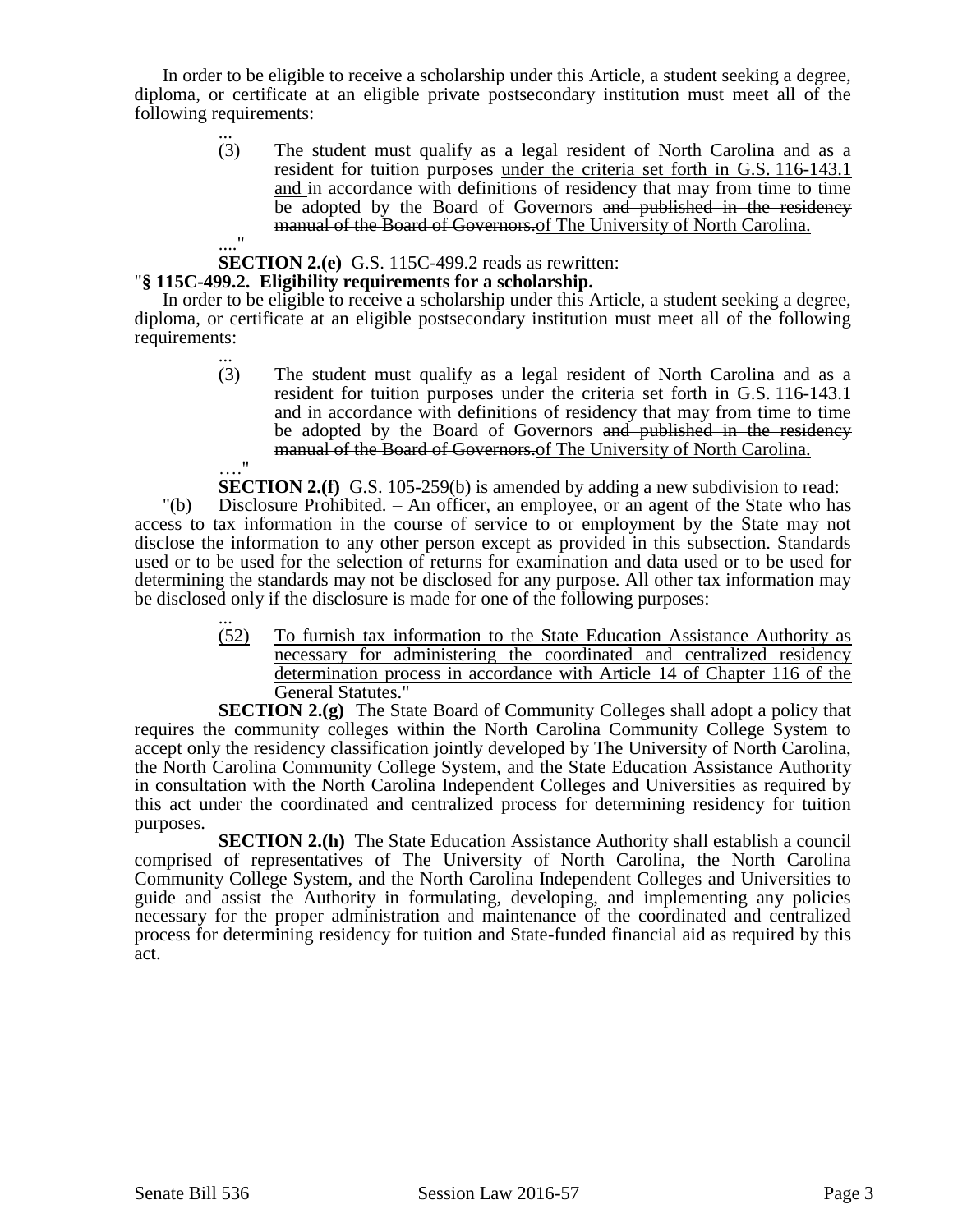In order to be eligible to receive a scholarship under this Article, a student seeking a degree, diploma, or certificate at an eligible private postsecondary institution must meet all of the following requirements:

... (3) The student must qualify as a legal resident of North Carolina and as a resident for tuition purposes under the criteria set forth in G.S. 116-143.1 and in accordance with definitions of residency that may from time to time be adopted by the Board of Governors and published in the residency manual of the Board of Governors.of The University of North Carolina.

#### ...." **SECTION 2.(e)** G.S. 115C-499.2 reads as rewritten:

#### "**§ 115C-499.2. Eligibility requirements for a scholarship.**

In order to be eligible to receive a scholarship under this Article, a student seeking a degree, diploma, or certificate at an eligible postsecondary institution must meet all of the following requirements:

> ... (3) The student must qualify as a legal resident of North Carolina and as a resident for tuition purposes under the criteria set forth in G.S. 116-143.1 and in accordance with definitions of residency that may from time to time be adopted by the Board of Governors and published in the residency manual of the Board of Governors of The University of North Carolina. …."

**SECTION 2.(f)** G.S. 105-259(b) is amended by adding a new subdivision to read:

"(b) Disclosure Prohibited. – An officer, an employee, or an agent of the State who has access to tax information in the course of service to or employment by the State may not disclose the information to any other person except as provided in this subsection. Standards used or to be used for the selection of returns for examination and data used or to be used for determining the standards may not be disclosed for any purpose. All other tax information may be disclosed only if the disclosure is made for one of the following purposes:

> ... (52) To furnish tax information to the State Education Assistance Authority as necessary for administering the coordinated and centralized residency determination process in accordance with Article 14 of Chapter 116 of the General Statutes."

**SECTION 2.(g)** The State Board of Community Colleges shall adopt a policy that requires the community colleges within the North Carolina Community College System to accept only the residency classification jointly developed by The University of North Carolina, the North Carolina Community College System, and the State Education Assistance Authority in consultation with the North Carolina Independent Colleges and Universities as required by this act under the coordinated and centralized process for determining residency for tuition purposes.

**SECTION 2.(h)** The State Education Assistance Authority shall establish a council comprised of representatives of The University of North Carolina, the North Carolina Community College System, and the North Carolina Independent Colleges and Universities to guide and assist the Authority in formulating, developing, and implementing any policies necessary for the proper administration and maintenance of the coordinated and centralized process for determining residency for tuition and State-funded financial aid as required by this act.